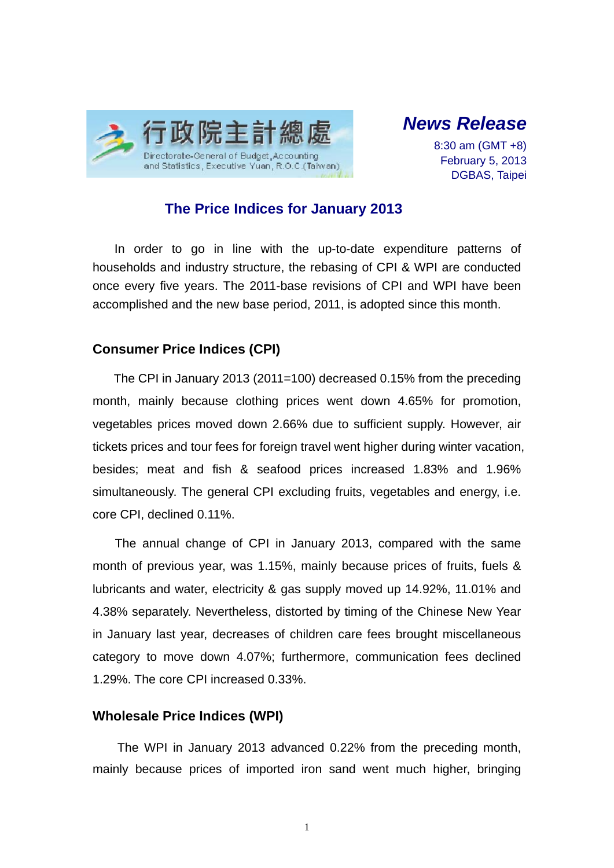



8:30 am (GMT +8) February 5, 2013 DGBAS, Taipei

# **The Price Indices for January 2013**

In order to go in line with the up-to-date expenditure patterns of households and industry structure, the rebasing of CPI & WPI are conducted once every five years. The 2011-base revisions of CPI and WPI have been accomplished and the new base period, 2011, is adopted since this month.

## **Consumer Price Indices (CPI)**

The CPI in January 2013 (2011=100) decreased 0.15% from the preceding month, mainly because clothing prices went down 4.65% for promotion, vegetables prices moved down 2.66% due to sufficient supply. However, air tickets prices and tour fees for foreign travel went higher during winter vacation, besides; meat and fish & seafood prices increased 1.83% and 1.96% simultaneously. The general CPI excluding fruits, vegetables and energy, i.e. core CPI, declined 0.11%.

The annual change of CPI in January 2013, compared with the same month of previous year, was 1.15%, mainly because prices of fruits, fuels & lubricants and water, electricity & gas supply moved up 14.92%, 11.01% and 4.38% separately. Nevertheless, distorted by timing of the Chinese New Year in January last year, decreases of children care fees brought miscellaneous category to move down 4.07%; furthermore, communication fees declined 1.29%. The core CPI increased 0.33%.

## **Wholesale Price Indices (WPI)**

The WPI in January 2013 advanced 0.22% from the preceding month, mainly because prices of imported iron sand went much higher, bringing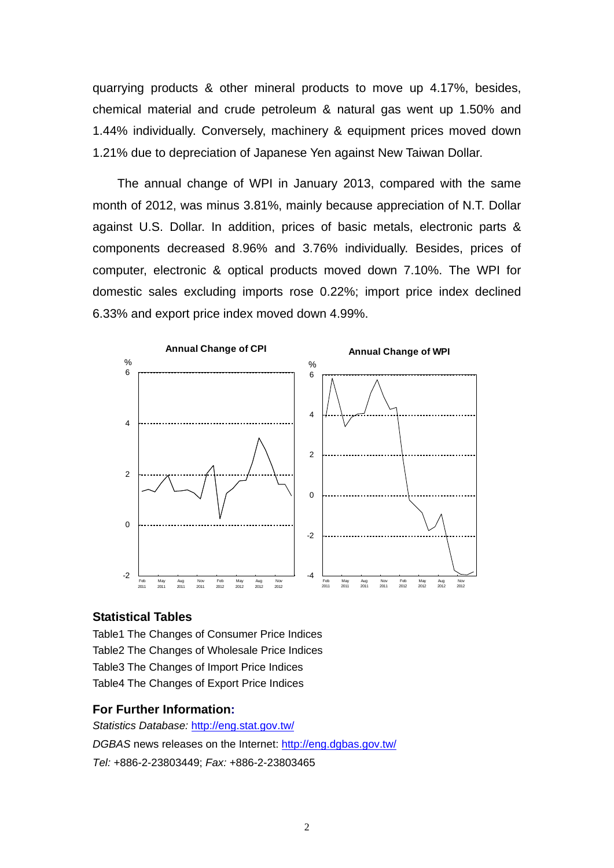quarrying products & other mineral products to move up 4.17%, besides, chemical material and crude petroleum & natural gas went up 1.50% and 1.44% individually. Conversely, machinery & equipment prices moved down 1.21% due to depreciation of Japanese Yen against New Taiwan Dollar.

The annual change of WPI in January 2013, compared with the same month of 2012, was minus 3.81%, mainly because appreciation of N.T. Dollar against U.S. Dollar. In addition, prices of basic metals, electronic parts & components decreased 8.96% and 3.76% individually. Besides, prices of computer, electronic & optical products moved down 7.10%. The WPI for domestic sales excluding imports rose 0.22%; import price index declined 6.33% and export price index moved down 4.99%.



## **Statistical Tables**

Table1 The Changes of Consumer Price Indices Table2 The Changes of Wholesale Price Indices Table3 The Changes of Import Price Indices Table4 The Changes of Export Price Indices

#### **For Further Information:**

*Statistics Database:* http://eng.stat.gov.tw/ *DGBAS* news releases on the Internet: http://eng.dgbas.gov.tw/ *Tel:* +886-2-23803449; *Fax:* +886-2-23803465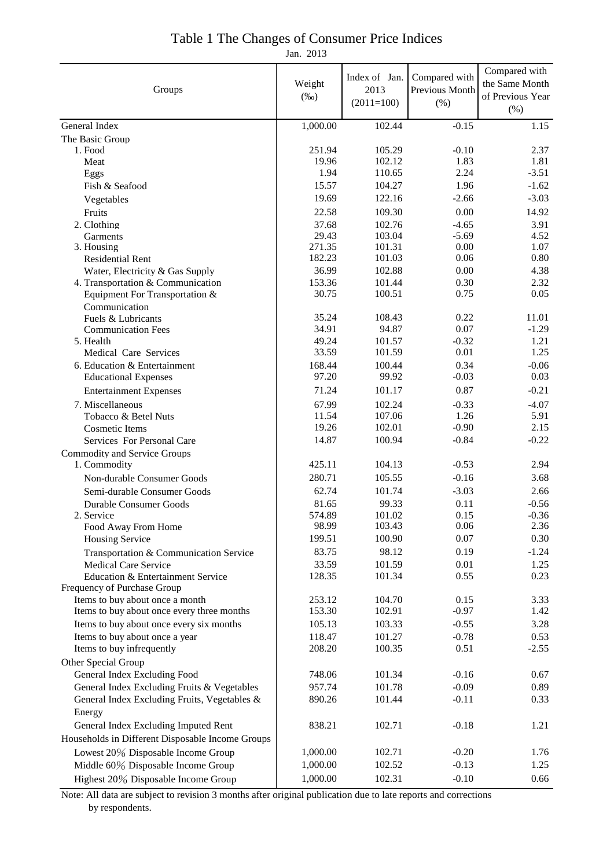| Groups                                                           | Weight<br>$(\%0)$ | Index of Jan.<br>2013<br>$(2011=100)$ | Compared with<br>Previous Month<br>(% ) | Compared with<br>the Same Month<br>of Previous Year<br>(% ) |
|------------------------------------------------------------------|-------------------|---------------------------------------|-----------------------------------------|-------------------------------------------------------------|
| General Index                                                    | 1,000.00          | 102.44                                | $-0.15$                                 | 1.15                                                        |
| The Basic Group                                                  |                   |                                       |                                         |                                                             |
| 1. Food                                                          | 251.94            | 105.29                                | $-0.10$                                 | 2.37                                                        |
| Meat                                                             | 19.96             | 102.12                                | 1.83                                    | 1.81                                                        |
| Eggs                                                             | 1.94              | 110.65                                | 2.24                                    | $-3.51$                                                     |
| Fish & Seafood                                                   | 15.57             | 104.27                                | 1.96                                    | $-1.62$                                                     |
| Vegetables                                                       | 19.69             | 122.16                                | $-2.66$                                 | $-3.03$                                                     |
| Fruits                                                           | 22.58             | 109.30                                | 0.00                                    | 14.92                                                       |
| 2. Clothing                                                      | 37.68             | 102.76                                | $-4.65$                                 | 3.91                                                        |
| Garments                                                         | 29.43             | 103.04                                | $-5.69$                                 | 4.52                                                        |
| 3. Housing                                                       | 271.35            | 101.31                                | 0.00                                    | 1.07                                                        |
| <b>Residential Rent</b>                                          | 182.23            | 101.03                                | 0.06                                    | 0.80                                                        |
| Water, Electricity & Gas Supply                                  | 36.99             | 102.88                                | 0.00                                    | 4.38                                                        |
| 4. Transportation & Communication                                | 153.36            | 101.44                                | 0.30                                    | 2.32                                                        |
| Equipment For Transportation &                                   | 30.75             | 100.51                                | 0.75                                    | 0.05                                                        |
| Communication                                                    |                   |                                       |                                         |                                                             |
| Fuels & Lubricants                                               | 35.24<br>34.91    | 108.43<br>94.87                       | 0.22<br>0.07                            | 11.01<br>$-1.29$                                            |
| <b>Communication Fees</b><br>5. Health                           | 49.24             | 101.57                                | $-0.32$                                 | 1.21                                                        |
| Medical Care Services                                            | 33.59             | 101.59                                | 0.01                                    | 1.25                                                        |
| 6. Education & Entertainment                                     | 168.44            | 100.44                                | 0.34                                    | $-0.06$                                                     |
| <b>Educational Expenses</b>                                      | 97.20             | 99.92                                 | $-0.03$                                 | 0.03                                                        |
|                                                                  | 71.24             | 101.17                                | 0.87                                    | $-0.21$                                                     |
| <b>Entertainment Expenses</b>                                    |                   |                                       |                                         |                                                             |
| 7. Miscellaneous                                                 | 67.99<br>11.54    | 102.24<br>107.06                      | $-0.33$<br>1.26                         | $-4.07$<br>5.91                                             |
| Tobacco & Betel Nuts<br><b>Cosmetic Items</b>                    | 19.26             | 102.01                                | $-0.90$                                 | 2.15                                                        |
| Services For Personal Care                                       | 14.87             | 100.94                                | $-0.84$                                 | $-0.22$                                                     |
|                                                                  |                   |                                       |                                         |                                                             |
| <b>Commodity and Service Groups</b><br>1. Commodity              | 425.11            | 104.13                                | $-0.53$                                 | 2.94                                                        |
|                                                                  | 280.71            | 105.55                                | $-0.16$                                 | 3.68                                                        |
| Non-durable Consumer Goods                                       |                   |                                       |                                         |                                                             |
| Semi-durable Consumer Goods                                      | 62.74             | 101.74                                | $-3.03$                                 | 2.66                                                        |
| <b>Durable Consumer Goods</b><br>2. Service                      | 81.65             | 99.33                                 | 0.11                                    | $-0.56$                                                     |
| Food Away From Home                                              | 574.89<br>98.99   | 101.02<br>103.43                      | 0.15<br>0.06                            | $-0.36$<br>2.36                                             |
| <b>Housing Service</b>                                           | 199.51            | 100.90                                | 0.07                                    | 0.30                                                        |
|                                                                  | 83.75             | 98.12                                 | 0.19                                    | $-1.24$                                                     |
| Transportation & Communication Service                           | 33.59             | 101.59                                | 0.01                                    | 1.25                                                        |
| <b>Medical Care Service</b><br>Education & Entertainment Service | 128.35            | 101.34                                | 0.55                                    | 0.23                                                        |
| Frequency of Purchase Group                                      |                   |                                       |                                         |                                                             |
| Items to buy about once a month                                  | 253.12            | 104.70                                | 0.15                                    | 3.33                                                        |
| Items to buy about once every three months                       | 153.30            | 102.91                                | $-0.97$                                 | 1.42                                                        |
| Items to buy about once every six months                         | 105.13            | 103.33                                | $-0.55$                                 | 3.28                                                        |
| Items to buy about once a year                                   | 118.47            | 101.27                                | $-0.78$                                 | 0.53                                                        |
| Items to buy infrequently                                        | 208.20            | 100.35                                | 0.51                                    | $-2.55$                                                     |
| Other Special Group                                              |                   |                                       |                                         |                                                             |
| General Index Excluding Food                                     | 748.06            | 101.34                                | $-0.16$                                 | 0.67                                                        |
| General Index Excluding Fruits & Vegetables                      | 957.74            | 101.78                                | $-0.09$                                 | 0.89                                                        |
| General Index Excluding Fruits, Vegetables &                     | 890.26            | 101.44                                | $-0.11$                                 | 0.33                                                        |
| Energy                                                           |                   |                                       |                                         |                                                             |
|                                                                  | 838.21            | 102.71                                | $-0.18$                                 | 1.21                                                        |
| General Index Excluding Imputed Rent                             |                   |                                       |                                         |                                                             |
| Households in Different Disposable Income Groups                 |                   |                                       |                                         |                                                             |
| Lowest 20% Disposable Income Group                               | 1,000.00          | 102.71                                | $-0.20$                                 | 1.76                                                        |
| Middle 60% Disposable Income Group                               | 1,000.00          | 102.52                                | $-0.13$                                 | 1.25                                                        |
| Highest 20% Disposable Income Group                              | 1,000.00          | 102.31                                | $-0.10$                                 | 0.66                                                        |

## Jan. 2013 Table 1 The Changes of Consumer Price Indices

Note: All data are subject to revision 3 months after original publication due to late reports and corrections by respondents.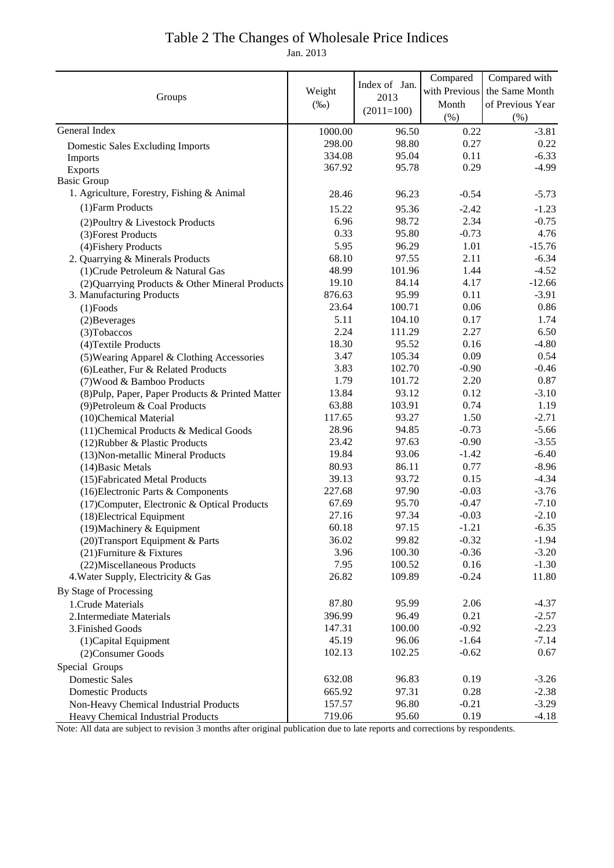# Table 2 The Changes of Wholesale Price Indices

Jan. 2013

|                                                  |                   |                       | Compared      | Compared with    |
|--------------------------------------------------|-------------------|-----------------------|---------------|------------------|
|                                                  | Weight<br>$(\%0)$ | Index of Jan.<br>2013 | with Previous | the Same Month   |
| Groups                                           |                   |                       | Month         | of Previous Year |
|                                                  |                   | $(2011=100)$          | (% )          | (%)              |
| General Index                                    | 1000.00           | 96.50                 | 0.22          | $-3.81$          |
| <b>Domestic Sales Excluding Imports</b>          | 298.00            | 98.80                 | 0.27          | 0.22             |
| Imports                                          | 334.08            | 95.04                 | 0.11          | $-6.33$          |
| <b>Exports</b>                                   | 367.92            | 95.78                 | 0.29          | $-4.99$          |
| <b>Basic Group</b>                               |                   |                       |               |                  |
| 1. Agriculture, Forestry, Fishing & Animal       | 28.46             | 96.23                 | $-0.54$       | $-5.73$          |
| (1) Farm Products                                | 15.22             | 95.36                 | $-2.42$       | $-1.23$          |
| (2) Poultry & Livestock Products                 | 6.96              | 98.72                 | 2.34          | $-0.75$          |
| (3) Forest Products                              | 0.33              | 95.80                 | $-0.73$       | 4.76             |
| (4) Fishery Products                             | 5.95              | 96.29                 | 1.01          | $-15.76$         |
| 2. Quarrying & Minerals Products                 | 68.10             | 97.55                 | 2.11          | $-6.34$          |
| (1) Crude Petroleum & Natural Gas                | 48.99             | 101.96                | 1.44          | $-4.52$          |
| (2) Quarrying Products & Other Mineral Products  | 19.10             | 84.14                 | 4.17          | $-12.66$         |
| 3. Manufacturing Products                        | 876.63            | 95.99                 | 0.11          | $-3.91$          |
| $(1)$ Foods                                      | 23.64             | 100.71                | 0.06          | 0.86             |
| (2) Beverages                                    | 5.11              | 104.10                | 0.17          | 1.74             |
| (3) Tobaccos                                     | 2.24              | 111.29                | 2.27          | 6.50             |
| (4) Textile Products                             | 18.30             | 95.52                 | 0.16          | $-4.80$          |
| (5) Wearing Apparel & Clothing Accessories       | 3.47              | 105.34                | 0.09          | 0.54             |
| (6) Leather, Fur & Related Products              | 3.83              | 102.70                | $-0.90$       | $-0.46$          |
| (7) Wood & Bamboo Products                       | 1.79              | 101.72                | 2.20          | 0.87             |
| (8) Pulp, Paper, Paper Products & Printed Matter | 13.84             | 93.12                 | 0.12          | $-3.10$          |
| (9) Petroleum & Coal Products                    | 63.88             | 103.91                | 0.74          | 1.19             |
| (10)Chemical Material                            | 117.65            | 93.27                 | 1.50          | $-2.71$          |
| (11) Chemical Products & Medical Goods           | 28.96             | 94.85                 | $-0.73$       | $-5.66$          |
| (12) Rubber & Plastic Products                   | 23.42             | 97.63                 | $-0.90$       | $-3.55$          |
| (13) Non-metallic Mineral Products               | 19.84             | 93.06                 | $-1.42$       | $-6.40$          |
| (14) Basic Metals                                | 80.93             | 86.11                 | 0.77          | $-8.96$          |
| (15) Fabricated Metal Products                   | 39.13             | 93.72                 | 0.15          | $-4.34$          |
| (16) Electronic Parts & Components               | 227.68            | 97.90                 | $-0.03$       | $-3.76$          |
| (17) Computer, Electronic & Optical Products     | 67.69             | 95.70                 | $-0.47$       | $-7.10$          |
| (18) Electrical Equipment                        | 27.16             | 97.34                 | $-0.03$       | $-2.10$          |
| (19) Machinery & Equipment                       | 60.18             | 97.15                 | $-1.21$       | $-6.35$          |
| (20) Transport Equipment & Parts                 | 36.02             | 99.82                 | $-0.32$       | $-1.94$          |
| (21) Furniture & Fixtures                        | 3.96              | 100.30                | $-0.36$       | $-3.20$          |
| (22) Miscellaneous Products                      | 7.95              | 100.52                | 0.16          | $-1.30$          |
| 4. Water Supply, Electricity & Gas               | 26.82             | 109.89                | $-0.24$       | 11.80            |
| By Stage of Processing                           |                   |                       |               |                  |
| 1. Crude Materials                               | 87.80             | 95.99                 | 2.06          | $-4.37$          |
| 2. Intermediate Materials                        | 396.99            | 96.49                 | 0.21          | $-2.57$          |
| 3. Finished Goods                                | 147.31            | 100.00                | $-0.92$       | $-2.23$          |
| (1) Capital Equipment                            | 45.19             | 96.06                 | $-1.64$       | $-7.14$          |
| (2) Consumer Goods                               | 102.13            | 102.25                | $-0.62$       | 0.67             |
| Special Groups                                   |                   |                       |               |                  |
| <b>Domestic Sales</b>                            | 632.08            | 96.83                 | 0.19          | $-3.26$          |
| <b>Domestic Products</b>                         | 665.92            | 97.31                 | 0.28          | $-2.38$          |
| Non-Heavy Chemical Industrial Products           | 157.57            | 96.80                 | $-0.21$       | $-3.29$          |
| Heavy Chemical Industrial Products               | 719.06            | 95.60                 | 0.19          | $-4.18$          |

Note: All data are subject to revision 3 months after original publication due to late reports and corrections by respondents.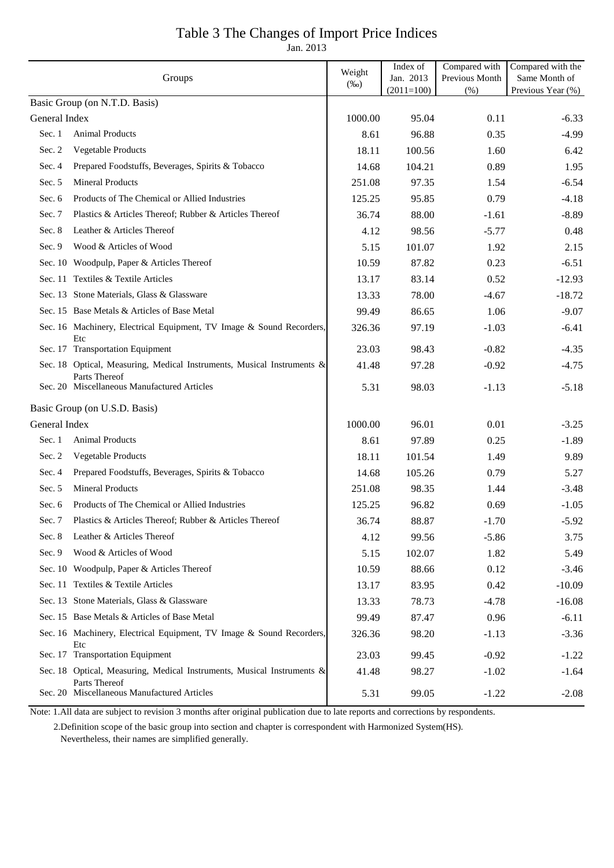# Table 3 The Changes of Import Price Indices

Jan. 2013

| Groups                        |                                                                                         | Weight          | Index of<br>Jan. 2013 | Compared with<br>Previous Month | Compared with the<br>Same Month of |
|-------------------------------|-----------------------------------------------------------------------------------------|-----------------|-----------------------|---------------------------------|------------------------------------|
|                               |                                                                                         | $(\%0)$         | $(2011=100)$          | (% )                            | Previous Year (%)                  |
| Basic Group (on N.T.D. Basis) |                                                                                         |                 |                       |                                 |                                    |
| General Index<br>Sec. 1       | <b>Animal Products</b>                                                                  | 1000.00<br>8.61 | 95.04                 | 0.11                            | $-6.33$<br>$-4.99$                 |
| Sec. 2                        | Vegetable Products                                                                      | 18.11           | 96.88<br>100.56       | 0.35<br>1.60                    |                                    |
| Sec. 4                        | Prepared Foodstuffs, Beverages, Spirits & Tobacco                                       |                 | 104.21                |                                 | 6.42                               |
| Sec. 5                        | <b>Mineral Products</b>                                                                 | 14.68<br>251.08 | 97.35                 | 0.89<br>1.54                    | 1.95<br>$-6.54$                    |
| Sec. 6                        | Products of The Chemical or Allied Industries                                           |                 |                       |                                 |                                    |
|                               |                                                                                         | 125.25          | 95.85                 | 0.79                            | $-4.18$                            |
| Sec. 7                        | Plastics & Articles Thereof; Rubber & Articles Thereof                                  | 36.74           | 88.00                 | $-1.61$                         | $-8.89$                            |
| Sec. 8                        | Leather & Articles Thereof                                                              | 4.12            | 98.56                 | $-5.77$                         | 0.48                               |
| Sec. 9                        | Wood & Articles of Wood                                                                 | 5.15            | 101.07                | 1.92                            | 2.15                               |
|                               | Sec. 10 Woodpulp, Paper & Articles Thereof                                              | 10.59           | 87.82                 | 0.23                            | $-6.51$                            |
|                               | Sec. 11 Textiles & Textile Articles                                                     | 13.17           | 83.14                 | 0.52                            | $-12.93$                           |
|                               | Sec. 13 Stone Materials, Glass & Glassware                                              | 13.33           | 78.00                 | $-4.67$                         | $-18.72$                           |
|                               | Sec. 15 Base Metals & Articles of Base Metal                                            | 99.49           | 86.65                 | 1.06                            | $-9.07$                            |
|                               | Sec. 16 Machinery, Electrical Equipment, TV Image & Sound Recorders,<br>Etc             | 326.36          | 97.19                 | $-1.03$                         | $-6.41$                            |
|                               | Sec. 17 Transportation Equipment                                                        | 23.03           | 98.43                 | $-0.82$                         | $-4.35$                            |
|                               | Sec. 18 Optical, Measuring, Medical Instruments, Musical Instruments &<br>Parts Thereof | 41.48           | 97.28                 | $-0.92$                         | $-4.75$                            |
|                               | Sec. 20 Miscellaneous Manufactured Articles                                             | 5.31            | 98.03                 | $-1.13$                         | $-5.18$                            |
|                               | Basic Group (on U.S.D. Basis)                                                           |                 |                       |                                 |                                    |
| General Index                 |                                                                                         | 1000.00         | 96.01                 | 0.01                            | $-3.25$                            |
| Sec. 1                        | <b>Animal Products</b>                                                                  | 8.61            | 97.89                 | 0.25                            | $-1.89$                            |
| Sec. 2                        | Vegetable Products                                                                      | 18.11           | 101.54                | 1.49                            | 9.89                               |
| Sec. 4                        | Prepared Foodstuffs, Beverages, Spirits & Tobacco                                       | 14.68           | 105.26                | 0.79                            | 5.27                               |
| Sec. 5                        | <b>Mineral Products</b>                                                                 | 251.08          | 98.35                 | 1.44                            | $-3.48$                            |
| Sec. $6$                      | Products of The Chemical or Allied Industries                                           | 125.25          | 96.82                 | 0.69                            | $-1.05$                            |
|                               | Sec. 7 Plastics & Articles Thereof; Rubber & Articles Thereof                           | 36.74           | 88.87                 | $-1.70$                         | $-5.92$                            |
| Sec. 8                        | Leather & Articles Thereof                                                              | 4.12            | 99.56                 | $-5.86$                         | 3.75                               |
| Sec. $9$                      | Wood & Articles of Wood                                                                 | 5.15            | 102.07                | 1.82                            | 5.49                               |
|                               | Sec. 10 Woodpulp, Paper & Articles Thereof                                              | 10.59           | 88.66                 | 0.12                            | $-3.46$                            |
|                               | Sec. 11 Textiles & Textile Articles                                                     | 13.17           | 83.95                 | 0.42                            | $-10.09$                           |
|                               | Sec. 13 Stone Materials, Glass & Glassware                                              | 13.33           | 78.73                 | $-4.78$                         | $-16.08$                           |
|                               | Sec. 15 Base Metals & Articles of Base Metal                                            | 99.49           | 87.47                 | 0.96                            | $-6.11$                            |
|                               | Sec. 16 Machinery, Electrical Equipment, TV Image & Sound Recorders,                    | 326.36          | 98.20                 | $-1.13$                         | $-3.36$                            |
|                               | Etc<br>Sec. 17 Transportation Equipment                                                 | 23.03           | 99.45                 | $-0.92$                         | $-1.22$                            |
|                               | Sec. 18 Optical, Measuring, Medical Instruments, Musical Instruments &<br>Parts Thereof | 41.48           | 98.27                 | $-1.02$                         | $-1.64$                            |
|                               | Sec. 20 Miscellaneous Manufactured Articles                                             | 5.31            | 99.05                 | $-1.22$                         | $-2.08$                            |

Note: 1.All data are subject to revision 3 months after original publication due to late reports and corrections by respondents.

 2.Definition scope of the basic group into section and chapter is correspondent with Harmonized System(HS). Nevertheless, their names are simplified generally.